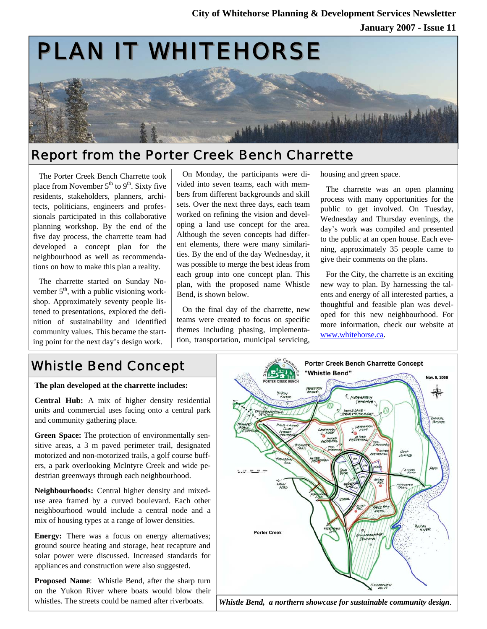

## Report from the Porter Creek Bench Charrette

The Porter Creek Bench Charrette took place from November  $5<sup>th</sup>$  to  $9<sup>th</sup>$ . Sixty five residents, stakeholders, planners, architects, politicians, engineers and professionals participated in this collaborative planning workshop. By the end of the five day process, the charrette team had developed a concept plan for the neighbourhood as well as recommendations on how to make this plan a reality.

The charrette started on Sunday November  $5<sup>th</sup>$ , with a public visioning workshop. Approximately seventy people listened to presentations, explored the definition of sustainability and identified community values. This became the starting point for the next day's design work.

On Monday, the participants were divided into seven teams, each with members from different backgrounds and skill sets. Over the next three days, each team worked on refining the vision and developing a land use concept for the area. Although the seven concepts had different elements, there were many similarities. By the end of the day Wednesday, it was possible to merge the best ideas from each group into one concept plan. This plan, with the proposed name Whistle Bend, is shown below.

On the final day of the charrette, new teams were created to focus on specific themes including phasing, implementation, transportation, municipal servicing,

housing and green space.

The charrette was an open planning process with many opportunities for the public to get involved. On Tuesday, Wednesday and Thursday evenings, the day's work was compiled and presented to the public at an open house. Each evening, approximately 35 people came to give their comments on the plans.

For the City, the charrette is an exciting new way to plan. By harnessing the talents and energy of all interested parties, a thoughtful and feasible plan was developed for this new neighbourhood. For more information, check our website at www.whitehorse.ca.

# Whistle Bend Concept

**The plan developed at the charrette includes:** 

**Central Hub:** A mix of higher density residential units and commercial uses facing onto a central park and community gathering place.

**Green Space:** The protection of environmentally sensitive areas, a 3 m paved perimeter trail, designated motorized and non-motorized trails, a golf course buffers, a park overlooking McIntyre Creek and wide pedestrian greenways through each neighbourhood.

**Neighbourhoods:** Central higher density and mixeduse area framed by a curved boulevard. Each other neighbourhood would include a central node and a mix of housing types at a range of lower densities.

**Energy:** There was a focus on energy alternatives; ground source heating and storage, heat recapture and solar power were discussed. Increased standards for appliances and construction were also suggested.

**Proposed Name**: Whistle Bend, after the sharp turn on the Yukon River where boats would blow their whistles. The streets could be named after riverboats.



*Whistle Bend, a northern showcase for sustainable community design*.